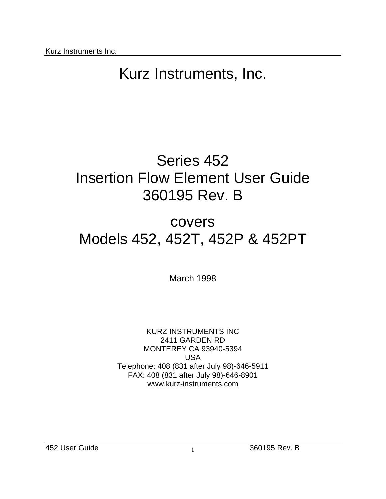# Series 452 Insertion Flow Element User Guide 360195 Rev. B

# covers Models 452, 452T, 452P & 452PT

March 1998

KURZ INSTRUMENTS INC 2411 GARDEN RD MONTEREY CA 93940-5394 USA Telephone: 408 (831 after July 98)-646-5911 FAX: 408 (831 after July 98)-646-8901 www.kurz-instruments.com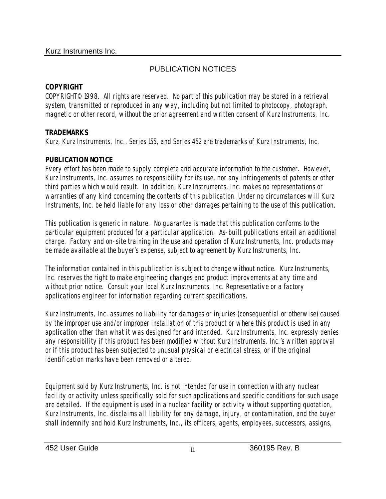# PUBLICATION NOTICES

# **COPYRIGHT**

COPYRIGHT© 1998. All rights are reserved. No part of this publication may be stored in a retrieval system, transmitted or reproduced in any way, including but not limited to photocopy, photograph, magnetic or other record, without the prior agreement and written consent of Kurz Instruments, Inc.

# **TRADEMARKS**

Kurz, Kurz Instruments, Inc., Series 155, and Series 452 are trademarks of Kurz Instruments, Inc.

# **PUBLICATION NOTICE**

Every effort has been made to supply complete and accurate information to the customer. However, Kurz Instruments, Inc. assumes no responsibility for its use, nor any infringements of patents or other third parties which would result. In addition, Kurz Instruments, Inc. makes no representations or warranties of any kind concerning the contents of this publication. Under no circumstances will Kurz Instruments, Inc. be held liable for any loss or other damages pertaining to the use of this publication.

This publication is generic in nature. No guarantee is made that this publication conforms to the particular equipment produced for a particular application. As-built publications entail an additional charge. Factory and on-site training in the use and operation of Kurz Instruments, Inc. products may be made available at the buyer's expense, subject to agreement by Kurz Instruments, Inc.

The information contained in this publication is subject to change without notice. Kurz Instruments, Inc. reserves the right to make engineering changes and product improvements at any time and without prior notice. Consult your local Kurz Instruments, Inc. Representative or a factory applications engineer for information regarding current specifications.

Kurz Instruments, Inc. assumes no liability for damages or injuries (consequential or otherwise) caused by the improper use and/or improper installation of this product or where this product is used in any application other than what it was designed for and intended. Kurz Instruments, Inc. expressly denies any responsibility if this product has been modified without Kurz Instruments, Inc.'s written approval or if this product has been subjected to unusual physical or electrical stress, or if the original identification marks have been removed or altered.

Equipment sold by Kurz Instruments, Inc. is not intended for use in connection with any nuclear facility or activity unless specifically sold for such applications and specific conditions for such usage are detailed. If the equipment is used in a nuclear facility or activity without supporting quotation, Kurz Instruments, Inc. disclaims all liability for any damage, injury, or contamination, and the buyer shall indemnify and hold Kurz Instruments, Inc., its officers, agents, employees, successors, assigns,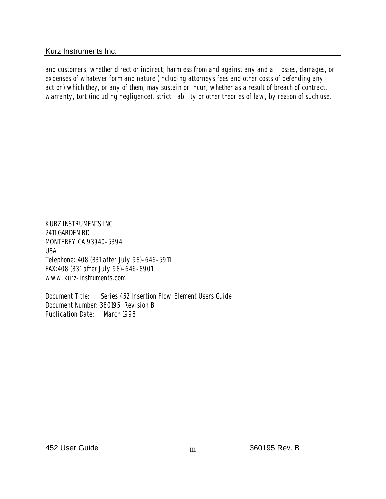and customers, whether direct or indirect, harmless from and against any and all losses, damages, or expenses of whatever form and nature (including attorneys fees and other costs of defending any action) which they, or any of them, may sustain or incur, whether as a result of breach of contract, warranty, tort (including negligence), strict liability or other theories of law, by reason of such use.

KURZ INSTRUMENTS INC 2411 GARDEN RD MONTEREY CA 93940-5394 USA Telephone: 408 (831 after July 98)-646-5911 FAX:408 (831 after July 98)-646-8901 www.kurz-instruments.com

Document Title: Series 452 Insertion Flow Element Users Guide Document Number: 360195, Revision B Publication Date: March 1998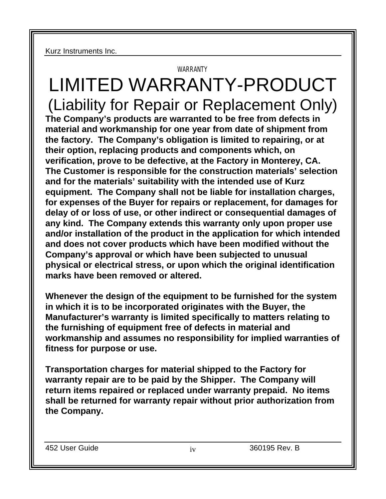# WARRANTY LIMITED WARRANTY-PRODUCT (Liability for Repair or Replacement Only) **The Company's products are warranted to be free from defects in material and workmanship for one year from date of shipment from the factory. The Company's obligation is limited to repairing, or at their option, replacing products and components which, on verification, prove to be defective, at the Factory in Monterey, CA. The Customer is responsible for the construction materials' selection and for the materials' suitability with the intended use of Kurz equipment. The Company shall not be liable for installation charges, for expenses of the Buyer for repairs or replacement, for damages for delay of or loss of use, or other indirect or consequential damages of any kind. The Company extends this warranty only upon proper use and/or installation of the product in the application for which intended and does not cover products which have been modified without the Company's approval or which have been subjected to unusual physical or electrical stress, or upon which the original identification marks have been removed or altered.**

**Whenever the design of the equipment to be furnished for the system in which it is to be incorporated originates with the Buyer, the Manufacturer's warranty is limited specifically to matters relating to the furnishing of equipment free of defects in material and workmanship and assumes no responsibility for implied warranties of fitness for purpose or use.** 

**Transportation charges for material shipped to the Factory for warranty repair are to be paid by the Shipper. The Company will return items repaired or replaced under warranty prepaid. No items shall be returned for warranty repair without prior authorization from the Company.** 

452 User Guide iv iv 360195 Rev. B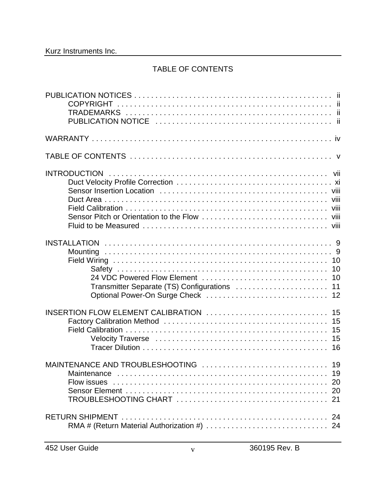## TABLE OF CONTENTS

| Transmitter Separate (TS) Configurations  11 | 10<br>10       |
|----------------------------------------------|----------------|
| INSERTION FLOW ELEMENT CALIBRATION<br>15     | 15<br>15<br>15 |
| <b>Maintenance</b><br>Flow issues            |                |
|                                              |                |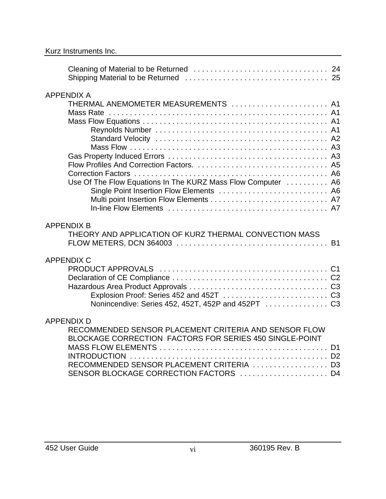| <b>APPENDIX A</b><br>THERMAL ANEMOMETER MEASUREMENTS  A1<br>Use Of The Flow Equations In The KURZ Mass Flow Computer  A6<br>Single Point Insertion Flow Elements  A6                                                         |           |
|------------------------------------------------------------------------------------------------------------------------------------------------------------------------------------------------------------------------------|-----------|
| <b>APPENDIX B</b><br>THEORY AND APPLICATION OF KURZ THERMAL CONVECTION MASS                                                                                                                                                  | <b>B1</b> |
| <b>APPENDIX C</b>                                                                                                                                                                                                            |           |
| <b>APPENDIX D</b><br>RECOMMENDED SENSOR PLACEMENT CRITERIA AND SENSOR FLOW<br>BLOCKAGE CORRECTION FACTORS FOR SERIES 450 SINGLE-POINT<br>RECOMMENDED SENSOR PLACEMENT CRITERIA  D3<br>SENSOR BLOCKAGE CORRECTION FACTORS  D4 |           |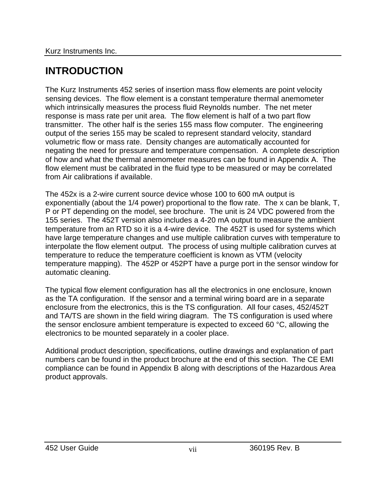# **INTRODUCTION**

The Kurz Instruments 452 series of insertion mass flow elements are point velocity sensing devices. The flow element is a constant temperature thermal anemometer which intrinsically measures the process fluid Reynolds number. The net meter response is mass rate per unit area. The flow element is half of a two part flow transmitter. The other half is the series 155 mass flow computer. The engineering output of the series 155 may be scaled to represent standard velocity, standard volumetric flow or mass rate. Density changes are automatically accounted for negating the need for pressure and temperature compensation. A complete description of how and what the thermal anemometer measures can be found in Appendix A. The flow element must be calibrated in the fluid type to be measured or may be correlated from Air calibrations if available.

The 452x is a 2-wire current source device whose 100 to 600 mA output is exponentially (about the 1/4 power) proportional to the flow rate. The x can be blank, T, P or PT depending on the model, see brochure. The unit is 24 VDC powered from the 155 series. The 452T version also includes a 4-20 mA output to measure the ambient temperature from an RTD so it is a 4-wire device. The 452T is used for systems which have large temperature changes and use multiple calibration curves with temperature to interpolate the flow element output. The process of using multiple calibration curves at temperature to reduce the temperature coefficient is known as VTM (velocity temperature mapping). The 452P or 452PT have a purge port in the sensor window for automatic cleaning.

The typical flow element configuration has all the electronics in one enclosure, known as the TA configuration. If the sensor and a terminal wiring board are in a separate enclosure from the electronics, this is the TS configuration. All four cases, 452/452T and TA/TS are shown in the field wiring diagram. The TS configuration is used where the sensor enclosure ambient temperature is expected to exceed 60 °C, allowing the electronics to be mounted separately in a cooler place.

Additional product description, specifications, outline drawings and explanation of part numbers can be found in the product brochure at the end of this section. The CE EMI compliance can be found in Appendix B along with descriptions of the Hazardous Area product approvals.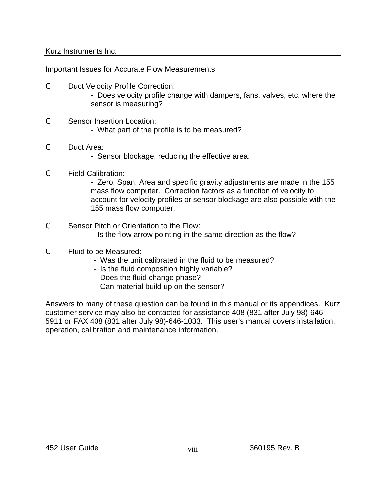Important Issues for Accurate Flow Measurements

- C Duct Velocity Profile Correction:
	- Does velocity profile change with dampers, fans, valves, etc. where the sensor is measuring?
- C Sensor Insertion Location:
	- What part of the profile is to be measured?

## C Duct Area:

- Sensor blockage, reducing the effective area.

## C Field Calibration:

- Zero, Span, Area and specific gravity adjustments are made in the 155 mass flow computer. Correction factors as a function of velocity to account for velocity profiles or sensor blockage are also possible with the 155 mass flow computer.

## C Sensor Pitch or Orientation to the Flow:

- Is the flow arrow pointing in the same direction as the flow?
- C Fluid to be Measured:
	- Was the unit calibrated in the fluid to be measured?
	- Is the fluid composition highly variable?
	- Does the fluid change phase?
	- Can material build up on the sensor?

Answers to many of these question can be found in this manual or its appendices. Kurz customer service may also be contacted for assistance 408 (831 after July 98)-646- 5911 or FAX 408 (831 after July 98)-646-1033. This user's manual covers installation, operation, calibration and maintenance information.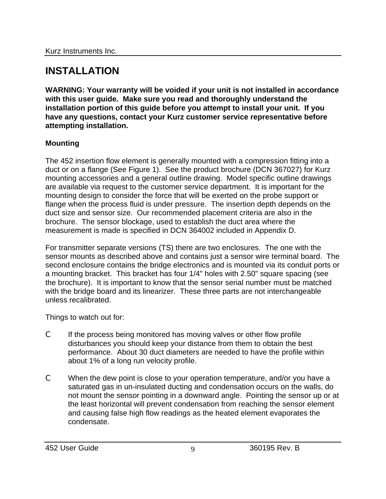# **INSTALLATION**

**WARNING: Your warranty will be voided if your unit is not installed in accordance with this user guide. Make sure you read and thoroughly understand the installation portion of this guide before you attempt to install your unit. If you have any questions, contact your Kurz customer service representative before attempting installation.** 

## **Mounting**

The 452 insertion flow element is generally mounted with a compression fitting into a duct or on a flange (See Figure 1). See the product brochure (DCN 367027) for Kurz mounting accessories and a general outline drawing. Model specific outline drawings are available via request to the customer service department. It is important for the mounting design to consider the force that will be exerted on the probe support or flange when the process fluid is under pressure. The insertion depth depends on the duct size and sensor size. Our recommended placement criteria are also in the brochure. The sensor blockage, used to establish the duct area where the measurement is made is specified in DCN 364002 included in Appendix D.

For transmitter separate versions (TS) there are two enclosures. The one with the sensor mounts as described above and contains just a sensor wire terminal board. The second enclosure contains the bridge electronics and is mounted via its conduit ports or a mounting bracket. This bracket has four 1/4" holes with 2.50" square spacing (see the brochure). It is important to know that the sensor serial number must be matched with the bridge board and its linearizer. These three parts are not interchangeable unless recalibrated.

Things to watch out for:

- C If the process being monitored has moving valves or other flow profile disturbances you should keep your distance from them to obtain the best performance. About 30 duct diameters are needed to have the profile within about 1% of a long run velocity profile.
- C When the dew point is close to your operation temperature, and/or you have a saturated gas in un-insulated ducting and condensation occurs on the walls, do not mount the sensor pointing in a downward angle. Pointing the sensor up or at the least horizontal will prevent condensation from reaching the sensor element and causing false high flow readings as the heated element evaporates the condensate.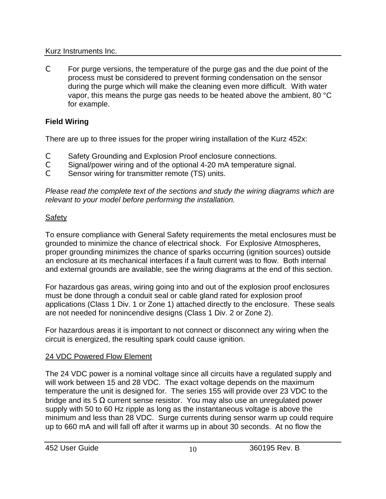C For purge versions, the temperature of the purge gas and the due point of the process must be considered to prevent forming condensation on the sensor during the purge which will make the cleaning even more difficult. With water vapor, this means the purge gas needs to be heated above the ambient, 80 °C for example.

# **Field Wiring**

There are up to three issues for the proper wiring installation of the Kurz 452x:

- C Safety Grounding and Explosion Proof enclosure connections.
- C Signal/power wiring and of the optional 4-20 mA temperature signal.
- C Sensor wiring for transmitter remote (TS) units.

*Please read the complete text of the sections and study the wiring diagrams which are relevant to your model before performing the installation.*

# **Safety**

To ensure compliance with General Safety requirements the metal enclosures must be grounded to minimize the chance of electrical shock. For Explosive Atmospheres, proper grounding minimizes the chance of sparks occurring (ignition sources) outside an enclosure at its mechanical interfaces if a fault current was to flow. Both internal and external grounds are available, see the wiring diagrams at the end of this section.

For hazardous gas areas, wiring going into and out of the explosion proof enclosures must be done through a conduit seal or cable gland rated for explosion proof applications (Class 1 Div. 1 or Zone 1) attached directly to the enclosure. These seals are not needed for nonincendive designs (Class 1 Div. 2 or Zone 2).

For hazardous areas it is important to not connect or disconnect any wiring when the circuit is energized, the resulting spark could cause ignition.

# 24 VDC Powered Flow Element

The 24 VDC power is a nominal voltage since all circuits have a regulated supply and will work between 15 and 28 VDC. The exact voltage depends on the maximum temperature the unit is designed for. The series 155 will provide over 23 VDC to the bridge and its 5  $\Omega$  current sense resistor. You may also use an unregulated power supply with 50 to 60 Hz ripple as long as the instantaneous voltage is above the minimum and less than 28 VDC. Surge currents during sensor warm up could require up to 660 mA and will fall off after it warms up in about 30 seconds. At no flow the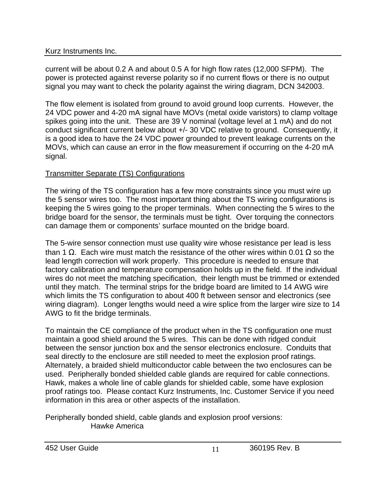current will be about 0.2 A and about 0.5 A for high flow rates (12,000 SFPM). The power is protected against reverse polarity so if no current flows or there is no output signal you may want to check the polarity against the wiring diagram, DCN 342003.

The flow element is isolated from ground to avoid ground loop currents. However, the 24 VDC power and 4-20 mA signal have MOVs (metal oxide varistors) to clamp voltage spikes going into the unit. These are 39 V nominal (voltage level at 1 mA) and do not conduct significant current below about +/- 30 VDC relative to ground. Consequently, it is a good idea to have the 24 VDC power grounded to prevent leakage currents on the MOVs, which can cause an error in the flow measurement if occurring on the 4-20 mA signal.

# Transmitter Separate (TS) Configurations

The wiring of the TS configuration has a few more constraints since you must wire up the 5 sensor wires too. The most important thing about the TS wiring configurations is keeping the 5 wires going to the proper terminals. When connecting the 5 wires to the bridge board for the sensor, the terminals must be tight. Over torquing the connectors can damage them or components' surface mounted on the bridge board.

The 5-wire sensor connection must use quality wire whose resistance per lead is less than 1 Ω. Each wire must match the resistance of the other wires within 0.01 Ω so the lead length correction will work properly. This procedure is needed to ensure that factory calibration and temperature compensation holds up in the field. If the individual wires do not meet the matching specification, their length must be trimmed or extended until they match. The terminal strips for the bridge board are limited to 14 AWG wire which limits the TS configuration to about 400 ft between sensor and electronics (see wiring diagram). Longer lengths would need a wire splice from the larger wire size to 14 AWG to fit the bridge terminals.

To maintain the CE compliance of the product when in the TS configuration one must maintain a good shield around the 5 wires. This can be done with ridged conduit between the sensor junction box and the sensor electronics enclosure. Conduits that seal directly to the enclosure are still needed to meet the explosion proof ratings. Alternately, a braided shield multiconductor cable between the two enclosures can be used. Peripherally bonded shielded cable glands are required for cable connections. Hawk, makes a whole line of cable glands for shielded cable, some have explosion proof ratings too. Please contact Kurz Instruments, Inc. Customer Service if you need information in this area or other aspects of the installation.

Peripherally bonded shield, cable glands and explosion proof versions: Hawke America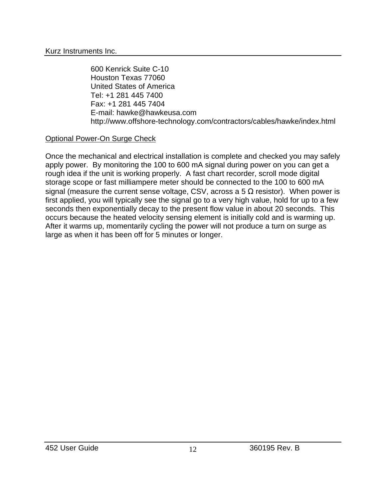600 Kenrick Suite C-10 Houston Texas 77060 United States of America Tel: +1 281 445 7400 Fax: +1 281 445 7404 E-mail: hawke@hawkeusa.com http://www.offshore-technology.com/contractors/cables/hawke/index.html

#### Optional Power-On Surge Check

Once the mechanical and electrical installation is complete and checked you may safely apply power. By monitoring the 100 to 600 mA signal during power on you can get a rough idea if the unit is working properly. A fast chart recorder, scroll mode digital storage scope or fast milliampere meter should be connected to the 100 to 600 mA signal (measure the current sense voltage, CSV, across a 5  $\Omega$  resistor). When power is first applied, you will typically see the signal go to a very high value, hold for up to a few seconds then exponentially decay to the present flow value in about 20 seconds. This occurs because the heated velocity sensing element is initially cold and is warming up. After it warms up, momentarily cycling the power will not produce a turn on surge as large as when it has been off for 5 minutes or longer.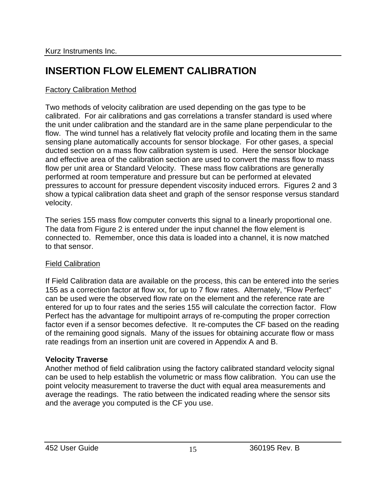# **INSERTION FLOW ELEMENT CALIBRATION**

# Factory Calibration Method

Two methods of velocity calibration are used depending on the gas type to be calibrated. For air calibrations and gas correlations a transfer standard is used where the unit under calibration and the standard are in the same plane perpendicular to the flow. The wind tunnel has a relatively flat velocity profile and locating them in the same sensing plane automatically accounts for sensor blockage. For other gases, a special ducted section on a mass flow calibration system is used. Here the sensor blockage and effective area of the calibration section are used to convert the mass flow to mass flow per unit area or Standard Velocity. These mass flow calibrations are generally performed at room temperature and pressure but can be performed at elevated pressures to account for pressure dependent viscosity induced errors. Figures 2 and 3 show a typical calibration data sheet and graph of the sensor response versus standard velocity.

The series 155 mass flow computer converts this signal to a linearly proportional one. The data from Figure 2 is entered under the input channel the flow element is connected to. Remember, once this data is loaded into a channel, it is now matched to that sensor.

## Field Calibration

If Field Calibration data are available on the process, this can be entered into the series 155 as a correction factor at flow xx, for up to 7 flow rates. Alternately, "Flow Perfect" can be used were the observed flow rate on the element and the reference rate are entered for up to four rates and the series 155 will calculate the correction factor. Flow Perfect has the advantage for multipoint arrays of re-computing the proper correction factor even if a sensor becomes defective. It re-computes the CF based on the reading of the remaining good signals. Many of the issues for obtaining accurate flow or mass rate readings from an insertion unit are covered in Appendix A and B.

## **Velocity Traverse**

Another method of field calibration using the factory calibrated standard velocity signal can be used to help establish the volumetric or mass flow calibration. You can use the point velocity measurement to traverse the duct with equal area measurements and average the readings. The ratio between the indicated reading where the sensor sits and the average you computed is the CF you use.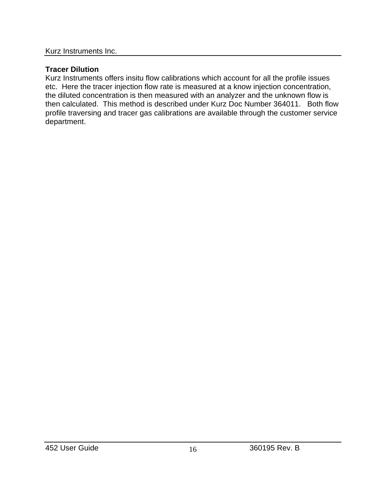# **Tracer Dilution**

Kurz Instruments offers insitu flow calibrations which account for all the profile issues etc. Here the tracer injection flow rate is measured at a know injection concentration, the diluted concentration is then measured with an analyzer and the unknown flow is then calculated. This method is described under Kurz Doc Number 364011. Both flow profile traversing and tracer gas calibrations are available through the customer service department.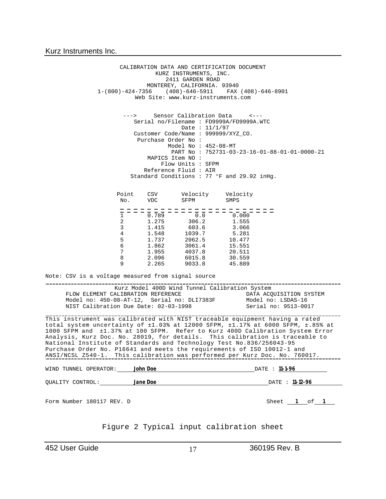CALIBRATION DATA AND CERTIFICATION DOCUMENT KURZ INSTRUMENTS, INC. 2411 GARDEN ROAD MONTEREY, CALIFORNIA. 93940 1-(800)-424-7356 (408)-646-5911 FAX (408)-646-8901 Web Site: www.kurz-instruments.com ---> Sensor Calibration Data <--- Serial no/Filename : FD9999A/FD9999A.WTC Date : 11/1/97 Customer Code/Name : 999999/XYZ\_CO. Purchase Order No : Model No : 452-08-MT PART No : 752731-03-23-16-01-88-01-01-0000-21 MAPICS Item NO : Flow Units : SFPM Reference Fluid : AIR Standard Conditions : 77 °F and 29.92 inHg. Point CSV Velocity Velocity<br>No. VDC SFPM SMPS No. VDC SFPM SMPS 1 0.789 0.0 0.000 2 1.275 306.2 1.555 3 1.415 603.6 3.066 4 1.548 1039.7 5.281 5 1.737 2062.5 10.477 6 1.862 3061.4 15.551 4037.8 ة 2.096 6015.8 30.559<br>1 2.096 6015.8 30.559<br>15.889 9033.8 45.889 2.265 9033.8 Note: CSV is a voltage measured from signal source -------------------. . . . . . . . . . . . . . . . . Kurz Model 400D Wind Tunnel Calibration System FLOW ELEMENT CALIBRATION REFERENCE DATA ACQUISITION SYNODEL Model no: 15DAS-16 Model no: 450-08-AT-12, Serial no: DLI7383F Model no: LSDAS-16<br>NIST Calibration Due Date: 02-03-1998 Serial no: 9513-0017 NIST Calibration Due Date: 02-03-1998 This instrument was calibrated with NIST traceable equipment having a rated total system uncertainty of ±1.03% at 12000 SFPM, ±1.17% at 6000 SFPM, ±.85% at 1000 SFPM and ±1.37% at 100 SFPM. Refer to Kurz 400D Calibration System Error Analysis, Kurz Doc. No. 28019, for details. This calibration is traceable to National Institute of Standards and Technology Test No.836/256043-95 Purchase Order No. P16641 and meets the requirements of ISO 10012-1 and ANSI/NCSL Z540-1. This calibration was performed per Kurz Doc. No. 760017. WIND TUNNEL OPERATOR: **John Doe** DATE : **11-1-96** QUALITY CONTROL: **Jane Doe** DATE : **11-12-96** Form Number 180117 REV. D Sheet **1** of **1** Figure 2 Typical input calibration sheet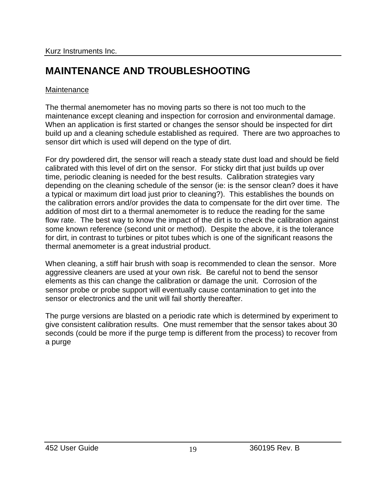# **MAINTENANCE AND TROUBLESHOOTING**

#### **Maintenance**

The thermal anemometer has no moving parts so there is not too much to the maintenance except cleaning and inspection for corrosion and environmental damage. When an application is first started or changes the sensor should be inspected for dirt build up and a cleaning schedule established as required. There are two approaches to sensor dirt which is used will depend on the type of dirt.

For dry powdered dirt, the sensor will reach a steady state dust load and should be field calibrated with this level of dirt on the sensor. For sticky dirt that just builds up over time, periodic cleaning is needed for the best results. Calibration strategies vary depending on the cleaning schedule of the sensor (ie: is the sensor clean? does it have a typical or maximum dirt load just prior to cleaning?). This establishes the bounds on the calibration errors and/or provides the data to compensate for the dirt over time. The addition of most dirt to a thermal anemometer is to reduce the reading for the same flow rate. The best way to know the impact of the dirt is to check the calibration against some known reference (second unit or method). Despite the above, it is the tolerance for dirt, in contrast to turbines or pitot tubes which is one of the significant reasons the thermal anemometer is a great industrial product.

When cleaning, a stiff hair brush with soap is recommended to clean the sensor. More aggressive cleaners are used at your own risk. Be careful not to bend the sensor elements as this can change the calibration or damage the unit. Corrosion of the sensor probe or probe support will eventually cause contamination to get into the sensor or electronics and the unit will fail shortly thereafter.

The purge versions are blasted on a periodic rate which is determined by experiment to give consistent calibration results. One must remember that the sensor takes about 30 seconds (could be more if the purge temp is different from the process) to recover from a purge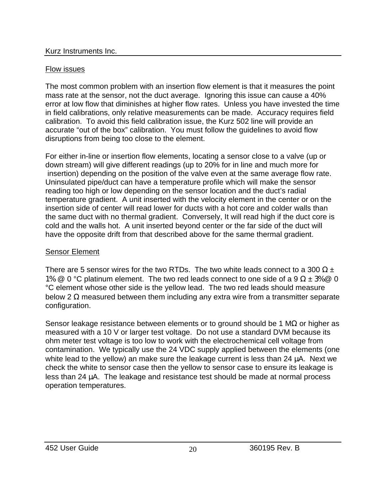# Flow issues

The most common problem with an insertion flow element is that it measures the point mass rate at the sensor, not the duct average. Ignoring this issue can cause a 40% error at low flow that diminishes at higher flow rates. Unless you have invested the time in field calibrations, only relative measurements can be made. Accuracy requires field calibration. To avoid this field calibration issue, the Kurz 502 line will provide an accurate "out of the box" calibration. You must follow the guidelines to avoid flow disruptions from being too close to the element.

For either in-line or insertion flow elements, locating a sensor close to a valve (up or down stream) will give different readings (up to 20% for in line and much more for insertion) depending on the position of the valve even at the same average flow rate. Uninsulated pipe/duct can have a temperature profile which will make the sensor reading too high or low depending on the sensor location and the duct's radial temperature gradient. A unit inserted with the velocity element in the center or on the insertion side of center will read lower for ducts with a hot core and colder walls than the same duct with no thermal gradient. Conversely, It will read high if the duct core is cold and the walls hot. A unit inserted beyond center or the far side of the duct will have the opposite drift from that described above for the same thermal gradient.

# Sensor Element

There are 5 sensor wires for the two RTDs. The two white leads connect to a 300  $\Omega \pm$ 1% @ 0 °C platinum element. The two red leads connect to one side of a 9  $\Omega \pm 3\%$  @ 0 °C element whose other side is the yellow lead. The two red leads should measure below 2  $\Omega$  measured between them including any extra wire from a transmitter separate configuration.

Sensor leakage resistance between elements or to ground should be 1 M $\Omega$  or higher as measured with a 10 V or larger test voltage. Do not use a standard DVM because its ohm meter test voltage is too low to work with the electrochemical cell voltage from contamination. We typically use the 24 VDC supply applied between the elements (one white lead to the yellow) an make sure the leakage current is less than 24 μA. Next we check the white to sensor case then the yellow to sensor case to ensure its leakage is less than 24 μA. The leakage and resistance test should be made at normal process operation temperatures.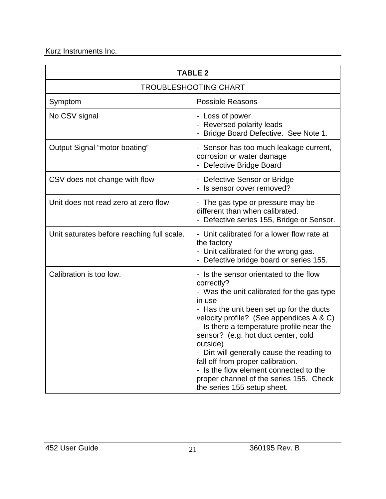| <b>TABLE 2</b>                             |                                                                                                                                                                                                                                                                                                                                                                                                                                                                                                           |  |  |
|--------------------------------------------|-----------------------------------------------------------------------------------------------------------------------------------------------------------------------------------------------------------------------------------------------------------------------------------------------------------------------------------------------------------------------------------------------------------------------------------------------------------------------------------------------------------|--|--|
| <b>TROUBLESHOOTING CHART</b>               |                                                                                                                                                                                                                                                                                                                                                                                                                                                                                                           |  |  |
| Symptom                                    | <b>Possible Reasons</b>                                                                                                                                                                                                                                                                                                                                                                                                                                                                                   |  |  |
| No CSV signal                              | - Loss of power<br>- Reversed polarity leads<br>Bridge Board Defective. See Note 1.                                                                                                                                                                                                                                                                                                                                                                                                                       |  |  |
| Output Signal "motor boating"              | - Sensor has too much leakage current,<br>corrosion or water damage<br>Defective Bridge Board                                                                                                                                                                                                                                                                                                                                                                                                             |  |  |
| CSV does not change with flow              | - Defective Sensor or Bridge<br>Is sensor cover removed?                                                                                                                                                                                                                                                                                                                                                                                                                                                  |  |  |
| Unit does not read zero at zero flow       | - The gas type or pressure may be<br>different than when calibrated.<br>- Defective series 155, Bridge or Sensor.                                                                                                                                                                                                                                                                                                                                                                                         |  |  |
| Unit saturates before reaching full scale. | - Unit calibrated for a lower flow rate at<br>the factory<br>- Unit calibrated for the wrong gas.<br>Defective bridge board or series 155.                                                                                                                                                                                                                                                                                                                                                                |  |  |
| Calibration is too low.                    | Is the sensor orientated to the flow<br>correctly?<br>- Was the unit calibrated for the gas type<br>in use<br>- Has the unit been set up for the ducts<br>velocity profile? (See appendices A & C)<br>- Is there a temperature profile near the<br>sensor? (e.g. hot duct center, cold<br>outside)<br>- Dirt will generally cause the reading to<br>fall off from proper calibration.<br>- Is the flow element connected to the<br>proper channel of the series 155. Check<br>the series 155 setup sheet. |  |  |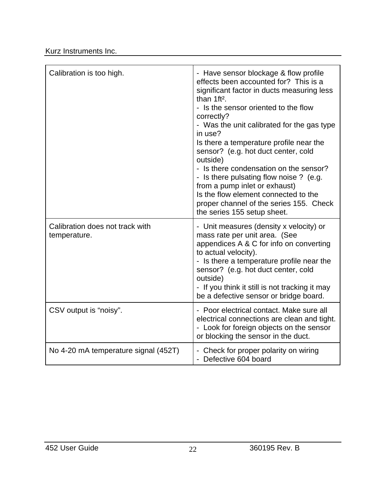| Calibration is too high.                        | - Have sensor blockage & flow profile<br>effects been accounted for? This is a<br>significant factor in ducts measuring less<br>than 1ft <sup>2</sup> .<br>- Is the sensor oriented to the flow<br>correctly?<br>- Was the unit calibrated for the gas type<br>in use?<br>Is there a temperature profile near the<br>sensor? (e.g. hot duct center, cold<br>outside)<br>- Is there condensation on the sensor?<br>- Is there pulsating flow noise ? (e.g.<br>from a pump inlet or exhaust)<br>Is the flow element connected to the<br>proper channel of the series 155. Check<br>the series 155 setup sheet. |
|-------------------------------------------------|--------------------------------------------------------------------------------------------------------------------------------------------------------------------------------------------------------------------------------------------------------------------------------------------------------------------------------------------------------------------------------------------------------------------------------------------------------------------------------------------------------------------------------------------------------------------------------------------------------------|
| Calibration does not track with<br>temperature. | - Unit measures (density x velocity) or<br>mass rate per unit area. (See<br>appendices A & C for info on converting<br>to actual velocity).<br>- Is there a temperature profile near the<br>sensor? (e.g. hot duct center, cold<br>outside)<br>- If you think it still is not tracking it may<br>be a defective sensor or bridge board.                                                                                                                                                                                                                                                                      |
| CSV output is "noisy".                          | - Poor electrical contact. Make sure all<br>electrical connections are clean and tight.<br>- Look for foreign objects on the sensor<br>or blocking the sensor in the duct.                                                                                                                                                                                                                                                                                                                                                                                                                                   |
| No 4-20 mA temperature signal (452T)            | - Check for proper polarity on wiring<br>- Defective 604 board                                                                                                                                                                                                                                                                                                                                                                                                                                                                                                                                               |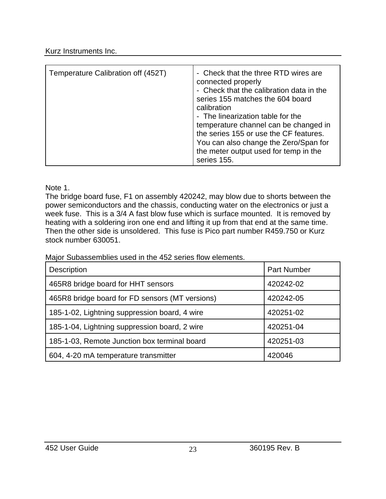| Temperature Calibration off (452T) | - Check that the three RTD wires are<br>connected properly<br>- Check that the calibration data in the<br>series 155 matches the 604 board<br>calibration<br>- The linearization table for the<br>temperature channel can be changed in<br>the series 155 or use the CF features.<br>You can also change the Zero/Span for<br>the meter output used for temp in the<br>series 155. |
|------------------------------------|------------------------------------------------------------------------------------------------------------------------------------------------------------------------------------------------------------------------------------------------------------------------------------------------------------------------------------------------------------------------------------|

Note 1.

The bridge board fuse, F1 on assembly 420242, may blow due to shorts between the power semiconductors and the chassis, conducting water on the electronics or just a week fuse. This is a 3/4 A fast blow fuse which is surface mounted. It is removed by heating with a soldering iron one end and lifting it up from that end at the same time. Then the other side is unsoldered. This fuse is Pico part number R459.750 or Kurz stock number 630051.

Major Subassemblies used in the 452 series flow elements.

| Description                                     | <b>Part Number</b> |
|-------------------------------------------------|--------------------|
| 465R8 bridge board for HHT sensors              | 420242-02          |
| 465R8 bridge board for FD sensors (MT versions) | 420242-05          |
| 185-1-02, Lightning suppression board, 4 wire   | 420251-02          |
| 185-1-04, Lightning suppression board, 2 wire   | 420251-04          |
| 185-1-03, Remote Junction box terminal board    | 420251-03          |
| 604, 4-20 mA temperature transmitter            | 420046             |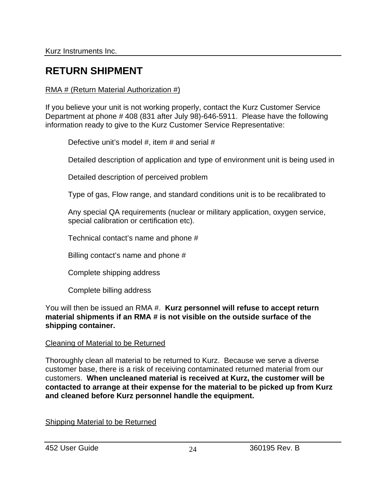# **RETURN SHIPMENT**

#### RMA # (Return Material Authorization #)

If you believe your unit is not working properly, contact the Kurz Customer Service Department at phone # 408 (831 after July 98)-646-5911. Please have the following information ready to give to the Kurz Customer Service Representative:

Defective unit's model #, item # and serial #

Detailed description of application and type of environment unit is being used in

Detailed description of perceived problem

Type of gas, Flow range, and standard conditions unit is to be recalibrated to

Any special QA requirements (nuclear or military application, oxygen service, special calibration or certification etc).

Technical contact's name and phone #

Billing contact's name and phone #

Complete shipping address

Complete billing address

You will then be issued an RMA #. **Kurz personnel will refuse to accept return material shipments if an RMA # is not visible on the outside surface of the shipping container.** 

#### Cleaning of Material to be Returned

Thoroughly clean all material to be returned to Kurz. Because we serve a diverse customer base, there is a risk of receiving contaminated returned material from our customers. **When uncleaned material is received at Kurz, the customer will be contacted to arrange at their expense for the material to be picked up from Kurz and cleaned before Kurz personnel handle the equipment.**

Shipping Material to be Returned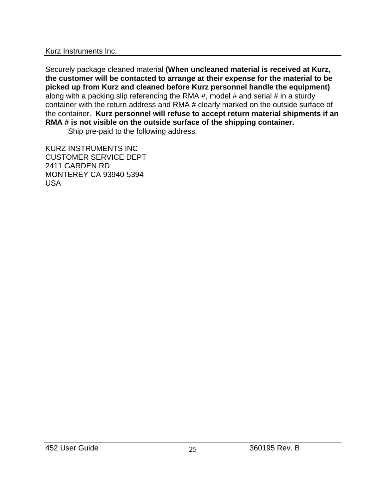Securely package cleaned material **(When uncleaned material is received at Kurz, the customer will be contacted to arrange at their expense for the material to be picked up from Kurz and cleaned before Kurz personnel handle the equipment)** along with a packing slip referencing the RMA #, model # and serial # in a sturdy container with the return address and RMA # clearly marked on the outside surface of the container. **Kurz personnel will refuse to accept return material shipments if an RMA # is not visible on the outside surface of the shipping container.**

Ship pre-paid to the following address:

KURZ INSTRUMENTS INC CUSTOMER SERVICE DEPT 2411 GARDEN RD MONTEREY CA 93940-5394 USA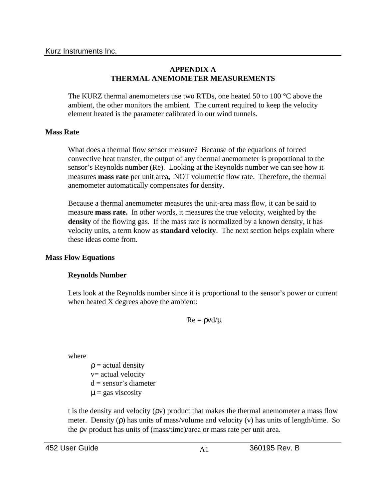#### **APPENDIX A THERMAL ANEMOMETER MEASUREMENTS**

The KURZ thermal anemometers use two RTDs, one heated 50 to 100 °C above the ambient, the other monitors the ambient. The current required to keep the velocity element heated is the parameter calibrated in our wind tunnels.

#### **Mass Rate**

What does a thermal flow sensor measure? Because of the equations of forced convective heat transfer, the output of any thermal anemometer is proportional to the sensor's Reynolds number (Re). Looking at the Reynolds number we can see how it measures **mass rate** per unit area**,** NOT volumetric flow rate. Therefore, the thermal anemometer automatically compensates for density.

Because a thermal anemometer measures the unit-area mass flow, it can be said to measure **mass rate.** In other words, it measures the true velocity, weighted by the density of the flowing gas. If the mass rate is normalized by a known density, it has velocity units, a term know as **standard velocity**. The next section helps explain where these ideas come from.

#### **Mass Flow Equations**

#### **Reynolds Number**

Lets look at the Reynolds number since it is proportional to the sensor's power or current when heated X degrees above the ambient:

 $Re = \rho v d/\mu$ 

where

 $p = actual density$ v= actual velocity  $d =$  sensor's diameter  $\mu$  = gas viscosity

t is the density and velocity ( $\rho v$ ) product that makes the thermal anemometer a mass flow meter. Density (ρ) has units of mass/volume and velocity (v) has units of length/time. So the ρv product has units of (mass/time)/area or mass rate per unit area.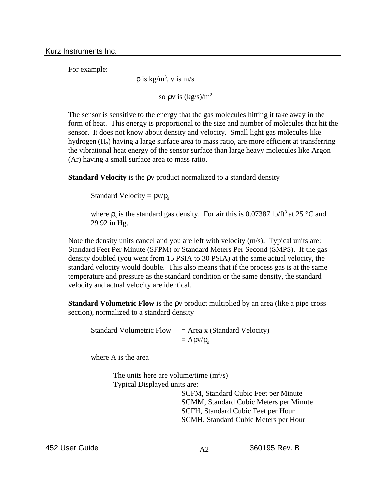For example:

 $\rho$  is kg/m<sup>3</sup>, v is m/s

so  $\rho v$  is  $(kg/s)/m^2$ 

The sensor is sensitive to the energy that the gas molecules hitting it take away in the form of heat. This energy is proportional to the size and number of molecules that hit the sensor. It does not know about density and velocity. Small light gas molecules like hydrogen  $(H_2)$  having a large surface area to mass ratio, are more efficient at transferring the vibrational heat energy of the sensor surface than large heavy molecules like Argon (Ar) having a small surface area to mass ratio.

**Standard Velocity** is the ρv product normalized to a standard density

Standard Velocity =  $\rho v/\rho_s$ 

where  $\rho_s$  is the standard gas density. For air this is 0.07387 lb/ft<sup>3</sup> at 25 °C and 29.92 in Hg.

Note the density units cancel and you are left with velocity (m/s). Typical units are: Standard Feet Per Minute (SFPM) or Standard Meters Per Second (SMPS). If the gas density doubled (you went from 15 PSIA to 30 PSIA) at the same actual velocity, the standard velocity would double. This also means that if the process gas is at the same temperature and pressure as the standard condition or the same density, the standard velocity and actual velocity are identical.

**Standard Volumetric Flow** is the ρv product multiplied by an area (like a pipe cross section), normalized to a standard density

Standard Volumetric Flow  $=$  Area x (Standard Velocity)  $= A \rho v / \rho_s$ 

where A is the area

The units here are volume/time  $(m^3/s)$ Typical Displayed units are:

> SCFM, Standard Cubic Feet per Minute SCMM, Standard Cubic Meters per Minute SCFH, Standard Cubic Feet per Hour SCMH, Standard Cubic Meters per Hour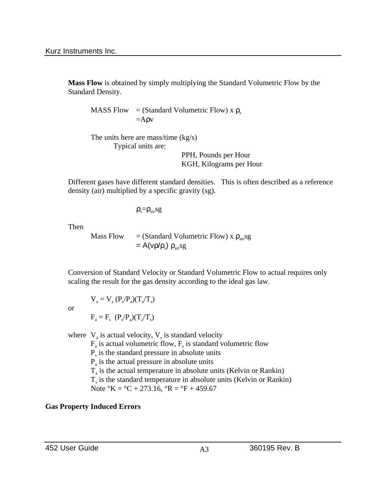**Mass Flow** is obtained by simply multiplying the Standard Volumetric Flow by the Standard Density.

MASS Flow = (Standard Volumetric Flow) x  $\rho_s$  $=$ A $\rho$ v

The units here are mass/time (kg/s) Typical units are:

> PPH, Pounds per Hour KGH, Kilograms per Hour

Different gases have different standard densities. This is often described as a reference density (air) multiplied by a specific gravity (sg).

 $\rho_s = \rho_{air} s g$ 

Then

Mass Flow  $=$  (Standard Volumetric Flow) x  $\rho_{air}$ sg  $= A(vρ/ρ<sub>s</sub>) ρ<sub>air</sub>sg$ 

Conversion of Standard Velocity or Standard Volumetric Flow to actual requires only scaling the result for the gas density according to the ideal gas law.

or

$$
F_a = F_s \ (P_s / P_a)(T_a / T_s)
$$

 $V_{a} = V_{s} (P_{s}/P_{a})(T_{a}/T_{s})$ 

where  $V_a$  is actual velocity,  $V_s$  is standard velocity  $F_a$  is actual volumetric flow,  $F_s$  is standard volumetric flow Ps is the standard pressure in absolute units  $P_a$  is the actual pressure in absolute units  $T_a$  is the actual temperature in absolute units (Kelvin or Rankin)  $T<sub>s</sub>$  is the standard temperature in absolute units (Kelvin or Rankin) Note  ${}^{\circ}K = {}^{\circ}C + 273.16$ ,  ${}^{\circ}R = {}^{\circ}F + 459.67$ 

# **Gas Property Induced Errors**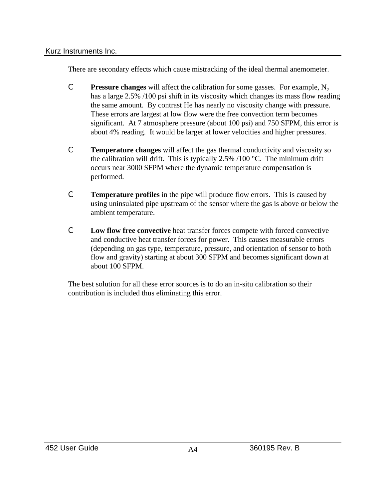There are secondary effects which cause mistracking of the ideal thermal anemometer.

- **C Pressure changes** will affect the calibration for some gasses. For example,  $N_2$ has a large 2.5% /100 psi shift in its viscosity which changes its mass flow reading the same amount. By contrast He has nearly no viscosity change with pressure. These errors are largest at low flow were the free convection term becomes significant. At 7 atmosphere pressure (about 100 psi) and 750 SFPM, this error is about 4% reading. It would be larger at lower velocities and higher pressures.
- C **Temperature changes** will affect the gas thermal conductivity and viscosity so the calibration will drift. This is typically 2.5%  $/100$  °C. The minimum drift occurs near 3000 SFPM where the dynamic temperature compensation is performed.
- C **Temperature profiles** in the pipe will produce flow errors. This is caused by using uninsulated pipe upstream of the sensor where the gas is above or below the ambient temperature.
- C **Low flow free convective** heat transfer forces compete with forced convective and conductive heat transfer forces for power. This causes measurable errors (depending on gas type, temperature, pressure, and orientation of sensor to both flow and gravity) starting at about 300 SFPM and becomes significant down at about 100 SFPM.

The best solution for all these error sources is to do an in-situ calibration so their contribution is included thus eliminating this error.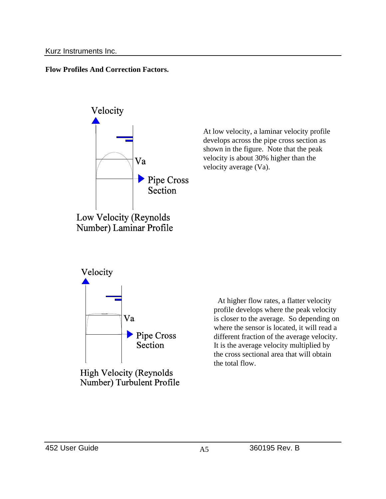**Flow Profiles And Correction Factors.**



At low velocity, a laminar velocity profile develops across the pipe cross section as shown in the figure. Note that the peak velocity is about 30% higher than the velocity average (Va).



**High Velocity (Reynolds** Number) Turbulent Profile

 At higher flow rates, a flatter velocity profile develops where the peak velocity is closer to the average. So depending on where the sensor is located, it will read a different fraction of the average velocity. It is the average velocity multiplied by the cross sectional area that will obtain the total flow.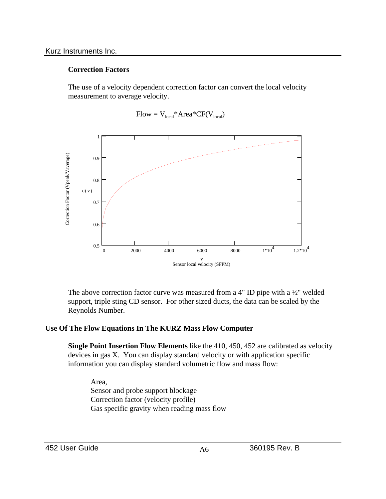#### **Correction Factors**

The use of a velocity dependent correction factor can convert the local velocity measurement to average velocity.



 $Flow = V_{local} * Area * CF(V_{local})$ 

The above correction factor curve was measured from a 4" ID pipe with a ½" welded support, triple sting CD sensor. For other sized ducts, the data can be scaled by the Reynolds Number.

#### **Use Of The Flow Equations In The KURZ Mass Flow Computer**

**Single Point Insertion Flow Elements** like the 410, 450, 452 are calibrated as velocity devices in gas X. You can display standard velocity or with application specific information you can display standard volumetric flow and mass flow:

Area, Sensor and probe support blockage Correction factor (velocity profile) Gas specific gravity when reading mass flow

452 User Guide  $A6$   $A6$  360195 Rev. B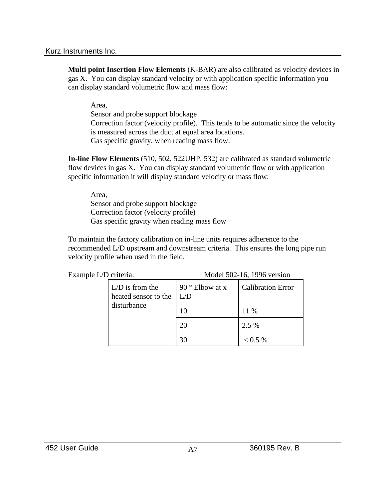**Multi point Insertion Flow Elements** (K-BAR) are also calibrated as velocity devices in gas X. You can display standard velocity or with application specific information you can display standard volumetric flow and mass flow:

Area,

Sensor and probe support blockage Correction factor (velocity profile). This tends to be automatic since the velocity is measured across the duct at equal area locations. Gas specific gravity, when reading mass flow.

**In-line Flow Elements** (510, 502, 522UHP, 532) are calibrated as standard volumetric flow devices in gas X. You can display standard volumetric flow or with application specific information it will display standard velocity or mass flow:

Area, Sensor and probe support blockage Correction factor (velocity profile) Gas specific gravity when reading mass flow

To maintain the factory calibration on in-line units requires adherence to the recommended L/D upstream and downstream criteria. This ensures the long pipe run velocity profile when used in the field.

| Example L/D criteria: |                                           | Model 502-16, 1996 version     |                          |  |
|-----------------------|-------------------------------------------|--------------------------------|--------------------------|--|
| disturbance           | $L/D$ is from the<br>heated sensor to the | 90 $\degree$ Elbow at x<br>L/D | <b>Calibration Error</b> |  |
|                       |                                           | 10                             | 11 %                     |  |
|                       |                                           | 20                             | 2.5 %                    |  |
|                       |                                           | 30                             | $0.5\%$                  |  |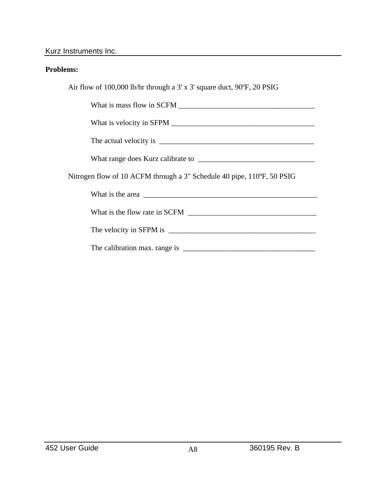#### **Problems:**

Air flow of 100,000 lb/hr through a 3' x 3' square duct, 90ºF, 20 PSIG

What is mass flow in SCFM \_\_\_\_\_\_\_\_\_\_\_\_\_\_\_\_\_\_\_\_\_\_\_\_\_\_\_\_\_\_\_\_\_\_\_\_

What is velocity in SFPM \_\_\_\_\_\_\_\_\_\_\_\_\_\_\_\_\_\_\_\_\_\_\_\_\_\_\_\_\_\_\_\_\_\_\_\_\_\_

The actual velocity is \_\_\_\_\_\_\_\_\_\_\_\_\_\_\_\_\_\_\_\_\_\_\_\_\_\_\_\_\_\_\_\_\_\_\_\_\_\_\_\_\_

What range does Kurz calibrate to \_\_\_\_\_\_\_\_\_\_\_\_\_\_\_\_\_\_\_\_\_\_\_\_\_\_\_\_\_\_\_

Nitrogen flow of 10 ACFM through a 3" Schedule 40 pipe, 110ºF, 50 PSIG

| What is the area |  |
|------------------|--|
|                  |  |

What is the flow rate in SCFM

| The velocity in SFPM is |  |
|-------------------------|--|
|                         |  |

The calibration max. range is \_\_\_\_\_\_\_\_\_\_\_\_\_\_\_\_\_\_\_\_\_\_\_\_\_\_\_\_\_\_\_\_\_\_\_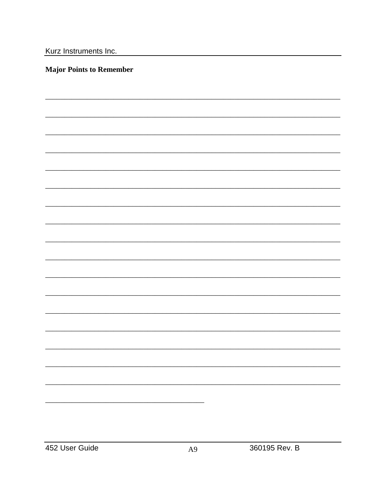#### **Major Points to Remember**

 $A<sup>9</sup>$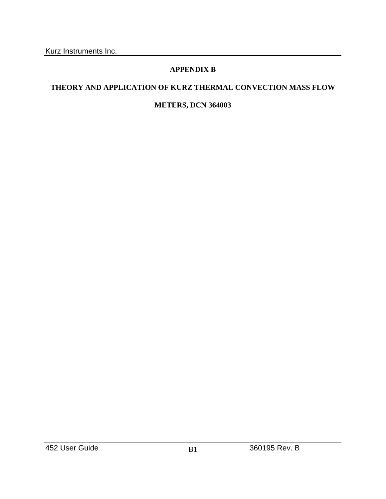# **APPENDIX B**

# **THEORY AND APPLICATION OF KURZ THERMAL CONVECTION MASS FLOW**

## **METERS, DCN 364003**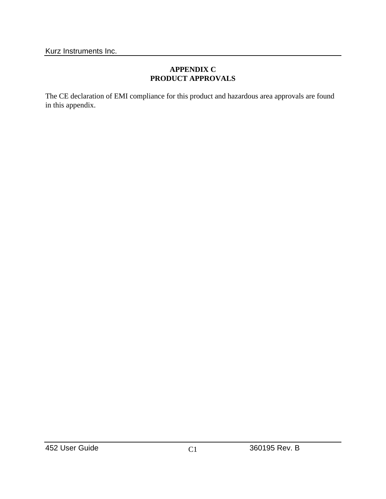#### **APPENDIX C PRODUCT APPROVALS**

The CE declaration of EMI compliance for this product and hazardous area approvals are found in this appendix.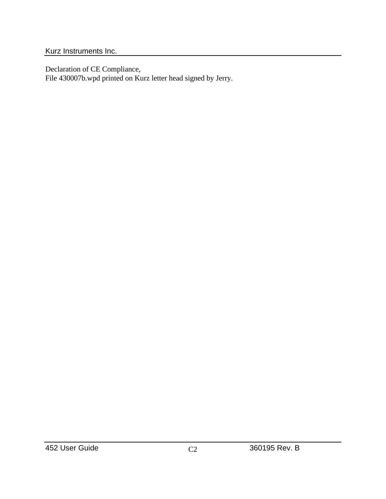Declaration of CE Compliance, File 430007b.wpd printed on Kurz letter head signed by Jerry.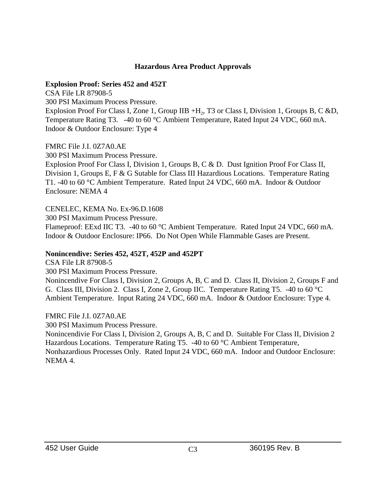#### **Hazardous Area Product Approvals**

#### **Explosion Proof: Series 452 and 452T**

CSA File LR 87908-5

300 PSI Maximum Process Pressure.

Explosion Proof For Class I, Zone 1, Group IIB +H<sub>2</sub>, T3 or Class I, Division 1, Groups B, C &D, Temperature Rating T3. -40 to 60 °C Ambient Temperature, Rated Input 24 VDC, 660 mA. Indoor & Outdoor Enclosure: Type 4

FMRC File J.I. 0Z7A0.AE

300 PSI Maximum Process Pressure.

Explosion Proof For Class I, Division 1, Groups B, C & D. Dust Ignition Proof For Class II, Division 1, Groups E, F & G Sutable for Class III Hazardious Locations. Temperature Rating T1. -40 to 60 °C Ambient Temperature. Rated Input 24 VDC, 660 mA. Indoor & Outdoor Enclosure: NEMA 4

CENELEC, KEMA No. Ex-96.D.1608

300 PSI Maximum Process Pressure.

Flameproof: EExd IIC T3. -40 to 60 °C Ambient Temperature. Rated Input 24 VDC, 660 mA. Indoor & Outdoor Enclosure: IP66. Do Not Open While Flammable Gases are Present.

#### **Nonincendive: Series 452, 452T, 452P and 452PT**

CSA File LR 87908-5

300 PSI Maximum Process Pressure.

Nonincendive For Class I, Division 2, Groups A, B, C and D. Class II, Division 2, Groups F and G. Class III, Division 2. Class I, Zone 2, Group IIC. Temperature Rating T5. -40 to 60 °C Ambient Temperature. Input Rating 24 VDC, 660 mA. Indoor & Outdoor Enclosure: Type 4.

#### FMRC File J.I. 0Z7A0.AE

300 PSI Maximum Process Pressure.

Nonincendivie For Class I, Division 2, Groups A, B, C and D. Suitable For Class II, Division 2 Hazardous Locations. Temperature Rating T5. -40 to 60 °C Ambient Temperature, Nonhazardious Processes Only. Rated Input 24 VDC, 660 mA. Indoor and Outdoor Enclosure: NEMA 4.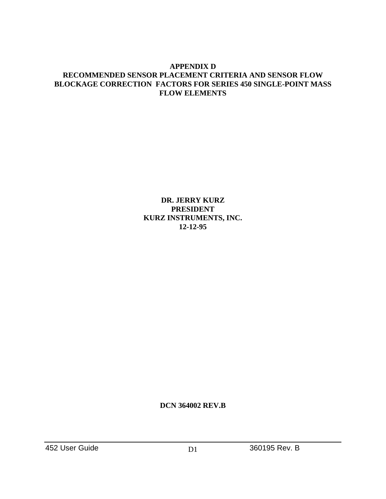#### **APPENDIX D RECOMMENDED SENSOR PLACEMENT CRITERIA AND SENSOR FLOW BLOCKAGE CORRECTION FACTORS FOR SERIES 450 SINGLE-POINT MASS FLOW ELEMENTS**

**DR. JERRY KURZ PRESIDENT KURZ INSTRUMENTS, INC. 12-12-95**

**DCN 364002 REV.B**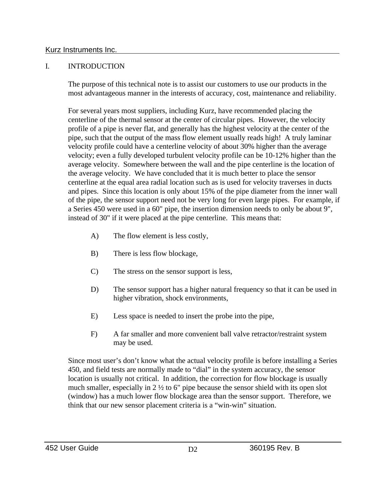#### I. INTRODUCTION

The purpose of this technical note is to assist our customers to use our products in the most advantageous manner in the interests of accuracy, cost, maintenance and reliability.

For several years most suppliers, including Kurz, have recommended placing the centerline of the thermal sensor at the center of circular pipes. However, the velocity profile of a pipe is never flat, and generally has the highest velocity at the center of the pipe, such that the output of the mass flow element usually reads high! A truly laminar velocity profile could have a centerline velocity of about 30% higher than the average velocity; even a fully developed turbulent velocity profile can be 10-12% higher than the average velocity. Somewhere between the wall and the pipe centerline is the location of the average velocity. We have concluded that it is much better to place the sensor centerline at the equal area radial location such as is used for velocity traverses in ducts and pipes. Since this location is only about 15% of the pipe diameter from the inner wall of the pipe, the sensor support need not be very long for even large pipes. For example, if a Series 450 were used in a 60" pipe, the insertion dimension needs to only be about 9", instead of 30" if it were placed at the pipe centerline. This means that:

- A) The flow element is less costly,
- B) There is less flow blockage,
- C) The stress on the sensor support is less,
- D) The sensor support has a higher natural frequency so that it can be used in higher vibration, shock environments,
- E) Less space is needed to insert the probe into the pipe,
- F) A far smaller and more convenient ball valve retractor/restraint system may be used.

Since most user's don't know what the actual velocity profile is before installing a Series 450, and field tests are normally made to "dial" in the system accuracy, the sensor location is usually not critical. In addition, the correction for flow blockage is usually much smaller, especially in 2 ½ to 6" pipe because the sensor shield with its open slot (window) has a much lower flow blockage area than the sensor support. Therefore, we think that our new sensor placement criteria is a "win-win" situation.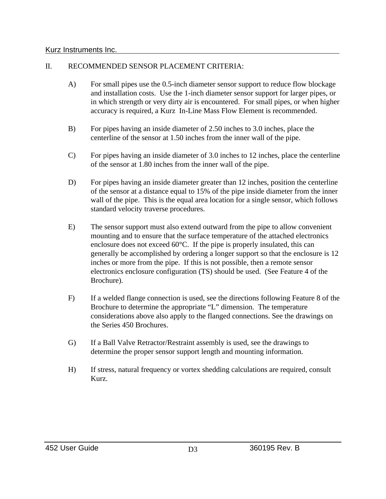#### II. RECOMMENDED SENSOR PLACEMENT CRITERIA:

- A) For small pipes use the 0.5-inch diameter sensor support to reduce flow blockage and installation costs. Use the 1-inch diameter sensor support for larger pipes, or in which strength or very dirty air is encountered. For small pipes, or when higher accuracy is required, a Kurz In-Line Mass Flow Element is recommended.
- B) For pipes having an inside diameter of 2.50 inches to 3.0 inches, place the centerline of the sensor at 1.50 inches from the inner wall of the pipe.
- C) For pipes having an inside diameter of 3.0 inches to 12 inches, place the centerline of the sensor at 1.80 inches from the inner wall of the pipe.
- D) For pipes having an inside diameter greater than 12 inches, position the centerline of the sensor at a distance equal to 15% of the pipe inside diameter from the inner wall of the pipe. This is the equal area location for a single sensor, which follows standard velocity traverse procedures.
- E) The sensor support must also extend outward from the pipe to allow convenient mounting and to ensure that the surface temperature of the attached electronics enclosure does not exceed 60°C. If the pipe is properly insulated, this can generally be accomplished by ordering a longer support so that the enclosure is 12 inches or more from the pipe. If this is not possible, then a remote sensor electronics enclosure configuration (TS) should be used. (See Feature 4 of the Brochure).
- F) If a welded flange connection is used, see the directions following Feature 8 of the Brochure to determine the appropriate "L" dimension. The temperature considerations above also apply to the flanged connections. See the drawings on the Series 450 Brochures.
- G) If a Ball Valve Retractor/Restraint assembly is used, see the drawings to determine the proper sensor support length and mounting information.
- H) If stress, natural frequency or vortex shedding calculations are required, consult Kurz.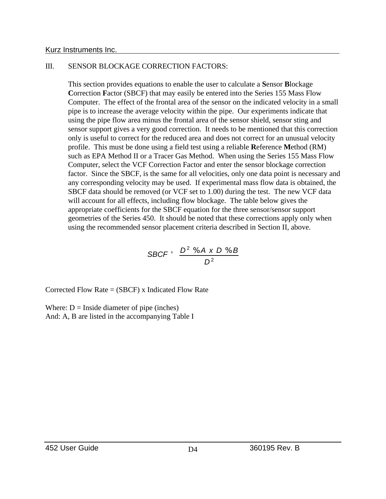#### III. SENSOR BLOCKAGE CORRECTION FACTORS:

This section provides equations to enable the user to calculate a **S**ensor **B**lockage **C**orrection **F**actor (SBCF) that may easily be entered into the Series 155 Mass Flow Computer. The effect of the frontal area of the sensor on the indicated velocity in a small pipe is to increase the average velocity within the pipe. Our experiments indicate that using the pipe flow area minus the frontal area of the sensor shield, sensor sting and sensor support gives a very good correction. It needs to be mentioned that this correction only is useful to correct for the reduced area and does not correct for an unusual velocity profile. This must be done using a field test using a reliable **R**eference **M**ethod (RM) such as EPA Method II or a Tracer Gas Method. When using the Series 155 Mass Flow Computer, select the VCF Correction Factor and enter the sensor blockage correction factor. Since the SBCF, is the same for all velocities, only one data point is necessary and any corresponding velocity may be used. If experimental mass flow data is obtained, the SBCF data should be removed (or VCF set to 1.00) during the test. The new VCF data will account for all effects, including flow blockage. The table below gives the appropriate coefficients for the SBCF equation for the three sensor/sensor support geometries of the Series 450. It should be noted that these corrections apply only when using the recommended sensor placement criteria described in Section II, above.

$$
\text{SBCF} \cdot \frac{D^2 \mathcal{N} A \times D \mathcal{N} B}{D^2}
$$

Corrected Flow Rate = (SBCF) x Indicated Flow Rate

Where:  $D =$  Inside diameter of pipe (inches) And: A, B are listed in the accompanying Table I